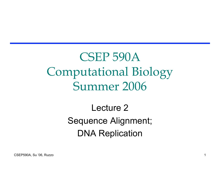CSEP 590A Computational Biology Summer 2006

> Lecture 2 Sequence Alignment; DNA Replication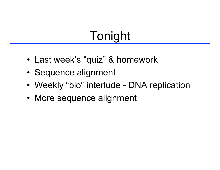# Tonight

- Last week's "quiz" & homework
- Sequence alignment
- Weekly "bio" interlude DNA replication
- More sequence alignment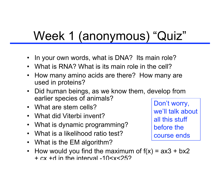# Week 1 (anonymous) "Quiz"

- In your own words, what is DNA? Its main role?
- What is RNA? What is its main role in the cell?
- How many amino acids are there? How many are used in proteins?
- Did human beings, as we know them, develop from earlier species of animals?
- What are stem cells?
- What did Viterbi invent?
- What is dynamic programming?
- What is a likelihood ratio test?
- What is the EM algorithm?
- How would you find the maximum of  $f(x) = ax3 + bx2$ + cx +d in the interval -10<x<25?

Don't worry, we'll talk about all this stuff before the course ends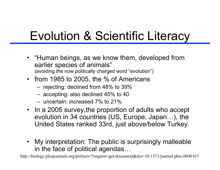# Evolution & Scientific Literacy

- "Human beings, as we know them, developed from earlier species of animals" (avoiding the now politically charged word "evolution")
- from 1985 to 2005, the % of Americans
	- rejecting: declined from 48% to 39%
	- accepting: also declined 45% to 40
	- uncertain: increased 7% to 21%
- In a 2005 survey,the proportion of adults who accept evolution in 34 countries (US, Europe, Japan…), the United States ranked 33rd, just above/below Turkey.
- My interpretation: The public is surprisingly malleable in the face of political agendas…

http://biology.plosjournals.org/perlserv/?request=get-document&doi=10.1371/journal.pbio.0040167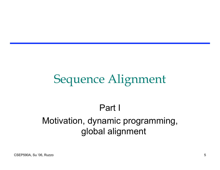### Sequence Alignment

#### Part I Motivation, dynamic programming, global alignment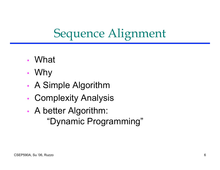## Sequence Alignment

- What
- Why
- A Simple Algorithm
- Complexity Analysis
- A better Algorithm: "Dynamic Programming"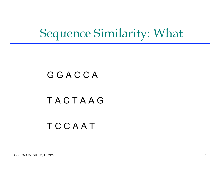### Sequence Similarity: What

#### **G G A C C A**

#### T A C T A A G

#### **T C C A A T**

CSEP590A, Su '06, Ruzzo 7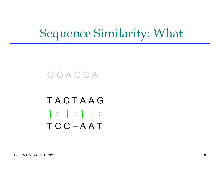### Sequence Similarity: What

**G G A C C A** 

T A C T A A G | : | : | | : T C C – A A T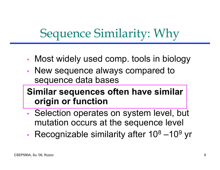## Sequence Similarity: Why

- Most widely used comp. tools in biology
- New sequence always compared to sequence data bases

#### **Similar sequences often have similar origin or function**

- Selection operates on system level, but mutation occurs at the sequence level
- Recognizable similarity after  $10^8 10^9$  yr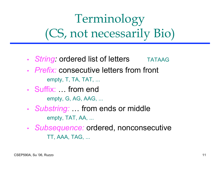# Terminology (CS, not necessarily Bio)

- *String:* ordered list of letters TATAAG
- *Prefix:* consecutive letters from front empty, T, TA, TAT, ...
- Suffix: … from end empty, G, AG, AAG, ...
- *Substring:* … from ends or middle empty, TAT, AA, ...
- *Subsequence:* ordered, nonconsecutive TT, AAA, TAG, ...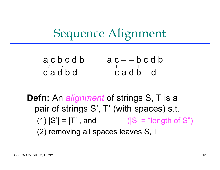#### Sequence Alignment

| acbcdb     | $ac - b c d b$ |
|------------|----------------|
| $\sqrt{2}$ |                |
| cadbd      | $-cadb-d$      |

**Defn:** An *alignment* of strings S, T is a pair of strings S' , T' (with spaces) s.t. (1)  $|S'| = |T'|$ , and  $(|S| = "length of S")$ (2) removing all spaces leaves S, T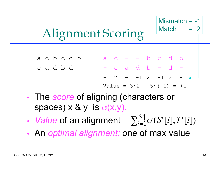#### Mismatch  $= -1$ Match

## Alignment Scoring

- $a \, c \, b \, c \, d \, b$  a  $c$  -  $b \, c \, d \, b$  $\begin{array}{ccccccccccccccccc} c & a & d & b & d & & - & c & a & d & b & - & d & - \end{array}$  $-1$  2  $-1$   $-1$  2  $-1$  2 Value =  $3*2 + 5*(-1) = +1$
- The *score* of aligning (characters or spaces)  $x \& y$  is  $\sigma(x,y)$ .
- *Value* of an alignment  $\sum_{i=1}^{N}$  $\sum_{i=1}^{|S'|} \sigma(S'[i], T'[i])$
- An *optimal alignment:* one of max value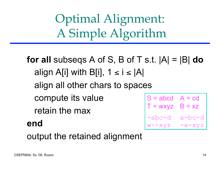Optimal Alignment: A Simple Algorithm

**for all** subseqs A of S, B of T s.t. |A| = |B| **do** align A[i] with B[i],  $1 \le i \le |A|$ align all other chars to spaces compute its value retain the max **end**  $S = abcd$   $A = cd$  $T = wxyz$   $B = xz$ -abc-d a-bc-d w--xyz -w-xyz

output the retained alignment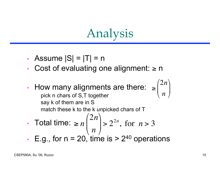# Analysis

- Assume  $|S| = |T| = n$
- Cost of evaluating one alignment:  $\geq$  n
- How many alignments are there:  $\geq$ pick n chars of S,T together say k of them are in S match these k to the k *un*picked chars of T  $\sqrt{2}$  $\setminus$  $\overline{\phantom{a}}$
- Total time:  $\geq n$ 2*n n*  $\sqrt{2}$  $\setminus$  $\overline{\phantom{a}}$  $\setminus$ '  $> 2^{2n}$ , for  $n > 3$
- E.g., for  $n = 20$ , time is  $> 2^{40}$  operations

2*n*

 $\backslash$ 

'  $\overline{\phantom{a}}$ 

*n*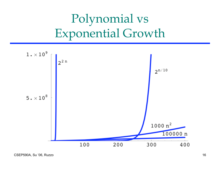# Polynomial vs Exponential Growth

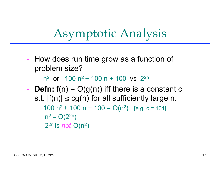### Asymptotic Analysis

• How does run time grow as a function of problem size?

 $n^2$  or  $100 n^2 + 100 n + 100$  vs  $2^{2n}$ 

• **Defn:**  $f(n) = O(g(n))$  iff there is a constant c s.t.  $|f(n)| \leq c g(n)$  for all sufficiently large n. 100  $n^2$  + 100  $n + 100 = O(n^2)$  [e.g. c = 101]  $n^2 = O(2^{2n})$ 22n is *not* O(n2)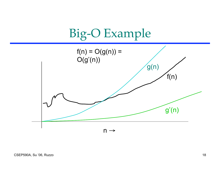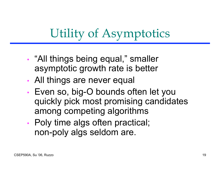# Utility of Asymptotics

- "All things being equal, " smaller asymptotic growth rate is better
- All things are never equal
- Even so, big-O bounds often let you quickly pick most promising candidates among competing algorithms
- Poly time algs often practical; non-poly algs seldom are.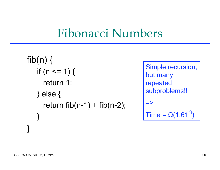#### Fibonacci Numbers

```
fib(n) \{if (n \leq 1) {
     return 1;
   } else {
     return fib(n-1) + fib(n-2);}
}
```
Simple recursion, but many repeated subproblems!!  $\Rightarrow$ Time =  $\Omega(1.61^{n})$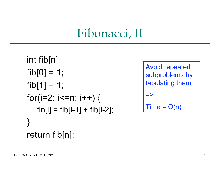### Fibonacci, II

```
int fib[n]
fib[0] = 1;fib[1] = 1;for(i=2; i<=n; i++) {
   fin[i] = fib[i-1] + fib[i-2];}
return fib[n];
```

```
Avoid repeated
subproblems by
tabulating them
=>
Time = O(n)
```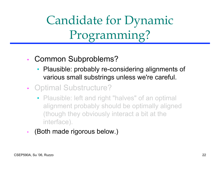Candidate for Dynamic Programming?

- Common Subproblems?
	- Plausible: probably re-considering alignments of various small substrings unless we're careful.
- Optimal Substructure?
	- Plausible: left and right "halves" of an optimal alignment probably should be optimally aligned (though they obviously interact a bit at the interface).
- (Both made rigorous below.)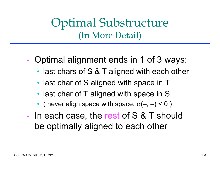Optimal Substructure (In More Detail)

- Optimal alignment ends in 1 of 3 ways:
	- last chars of S & T aligned with each other
	- last char of S aligned with space in T
	- last char of T aligned with space in S
	- ( never align space with space;  $\sigma(-, -) < 0$  )
- In each case, the rest of S & T should be optimally aligned to each other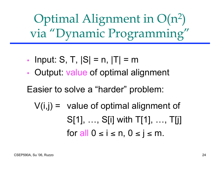Optimal Alignment in O(n2) via "Dynamic Programming"

- Input: S, T,  $|S| = n$ ,  $|T| = m$
- Output: value of optimal alignment

Easier to solve a "harder" problem:

 $V(i,j)$  = value of optimal alignment of S[1], …, S[i] with T[1], …, T[j] for all  $0 \le i \le n, 0 \le j \le m$ .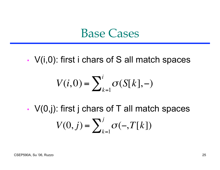#### Base Cases

• V(i,0): first i chars of S all match spaces

$$
V(i,0) = \sum_{k=1}^{i} \sigma(S[k],-)
$$

• V(0,j): first j chars of T all match spaces  $V(0, j) = \sum_{k=1}^{n} \sigma(-, T[k])$ *j*  $\sum$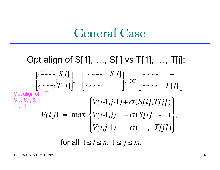#### General Case

Opt align of S[1], …, S[i] vs T[1], …, T[j]: Opt align of  $\mathbf{S}_{1}... \mathbf{S}_{i\text{-}1}$  &  $\mathsf{T}_\mathsf{1} ... \mathsf{T}_\mathsf{j\text{-}1}$  $V(i,j) = \max$  $V(i-1,j-1) + \sigma(S[i],T[j])$  $V(i-1,j) + \sigma(S[i], - )$  $V(i,j-1)$  +  $\sigma$ ( - , *T[j]*)  $\int$  $\big\}$  $\begin{array}{c} \hline \end{array}$  $\overline{\mathsf{L}}$  $\begin{array}{c} \hline \end{array}$ ן<br>|<br>|  $\left\{ \right.$  $\overline{\phantom{a}}$ )  $\overline{\phantom{a}}$ ,  $\sim \sim \sim S[i]$  $\sim\sim\sim\!\!T[j]$ / "  $\overline{\phantom{a}}$  $\mathcal{L}$  $\overline{\phantom{a}}$  $\overline{\phantom{a}}$  $\int$   $\sim$   $\sim$   $\sim$  *S*[*i*]  $\sim$   $\sim$   $\sim$   $\sim$   $\sim$  $\lceil$  $\lfloor$  $\overline{\phantom{a}}$  $\mathcal{I}$  $\rfloor$  $\left.\begin{matrix} \big\downarrow \text{ or } \begin{bmatrix} \sim & \sim & \sim & - \\ \sim & \sim & \sim & T[j] \end{bmatrix} \end{matrix}\right.$  $\lceil$  $\lfloor$  $\overline{\phantom{a}}$  $\mathcal{I}$  $\rfloor$  $\overline{\phantom{a}}$ for all  $1 \le i \le n$ ,  $1 \le j \le m$ .

CSEP590A, Su '06, Ruzzo 26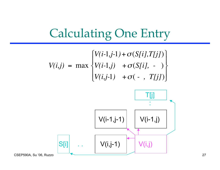

$$
V(i,j) = \max \begin{Bmatrix} V(i-1,j-1) + \sigma(S[i],T[j]) \\ V(i-1,j) + \sigma(S[i], - ) \\ V(i,j-1) + \sigma(-, T[j]) \end{Bmatrix}
$$

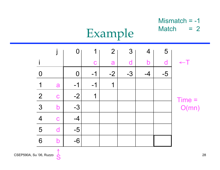#### Mismatch = -1 Match  $= 2$

#### $j \, | \, 0 \, | \, 1 \, | \, 2 \, | \, 3 \, | \, 4 \, | \, 5$ i c a d b d ←T 0  $| 0 | -1 | -2 | -3 | -4 | -5$ 1 a  $-1$   $-1$  1 2 c  $-2$  1 3 b -3 4 c -4  $5$  d  $-5$ 6 b -6 Time = O(mn)

Example

S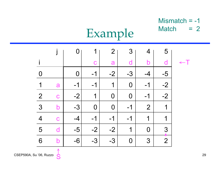#### Mismatch = -1 Match  $= 2$

# Example

|                |                         |                |      | $\overline{2}$ | $3\overline{3}$ | 4              | 5                    |  |
|----------------|-------------------------|----------------|------|----------------|-----------------|----------------|----------------------|--|
|                |                         |                | C    | a              |                 | h              |                      |  |
|                |                         | $\overline{0}$ | $-1$ | $-2$           | $-3$            | $-4$           | $-5$                 |  |
| 1              | a                       | $-1$           | $-1$ | 1              | $\overline{0}$  | $-1$           | $-2$                 |  |
| $\overline{2}$ | $\mathbf C$             | $-2$           | 1    | $\Omega$       | $\overline{0}$  | $-1$           | $-2$                 |  |
| 3              | $\overline{\mathsf{b}}$ | $-3$           | 0    | $\overline{0}$ | $-1$            | $\overline{2}$ | $\blacktriangleleft$ |  |
| 4              | $\mathbf C$             | $-4$           | $-1$ | $-1$           | $-1$            | 1              | 1                    |  |
| 5              |                         | $-5$           | $-2$ | $-2$           | 1               | 0              | 3                    |  |
| 6              | b                       | $-6$           | $-3$ | $-3$           | $\bf{0}$        | 3              | $\overline{2}$       |  |

S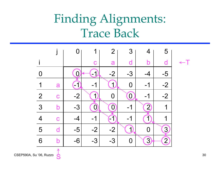## Finding Alignments: Trace Back



S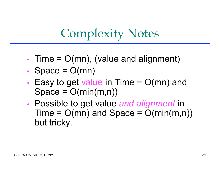## Complexity Notes

- Time  $= O(mn)$ , (value and alignment)
- Space  $= O(mn)$
- Easy to get value in Time  $= O(mn)$  and  $Space = O(min(m,n))$
- Possible to get value *and alignment* in  $Time = O(mn)$  and  $Space = O(min(m,n))$ but tricky.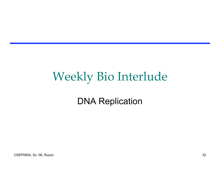## Weekly Bio Interlude

#### DNA Replication

CSEP590A, Su '06, Ruzzo 32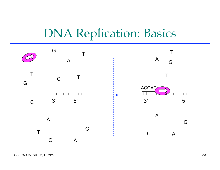### DNA Replication: Basics

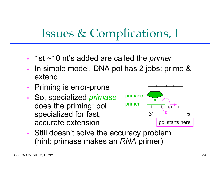## Issues & Complications, I

- 1st ~10 nt's added are called the *primer*
- In simple model, DNA pol has 2 jobs: prime & extend
- Priming is error-prone
- So, specialized *primase* does the priming; pol specialized for fast, accurate extension



• Still doesn't solve the accuracy problem (hint: primase makes an *RNA* primer)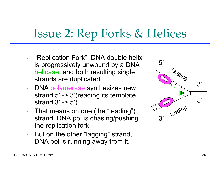### Issue 2: Rep Forks & Helices

- "Replication Fork": DNA double helix is progressively unwound by a DNA helicase, and both resulting single strands are duplicated
- DNA polymerase synthesizes new strand 5' -> 3'(reading its template strand  $3' \rightarrow 5'$
- That means on one (the "leading") strand, DNA pol is chasing/pushing the replication fork
- But on the other "lagging" strand, DNA pol is running away from it.

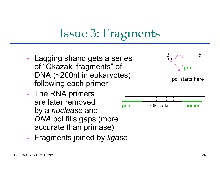## Issue 3: Fragments

- Lagging strand gets a series of "Okazaki fragments" of DNA (~200nt in eukaryotes) following each primer
- The RNA primers are later removed by a *nuclease* and *DNA* pol fills gaps (more accurate than primase)



primer

 $3'$  5'

primer Okazaki primer

- 
- Fragments joined by *ligase*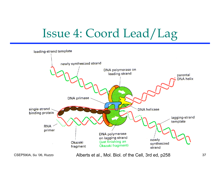## Issue 4: Coord Lead/Lag



CSEP590A, Su '06, Ruzzo 37 Alberts et al., Mol. Biol. of the Cell, 3rd ed, p258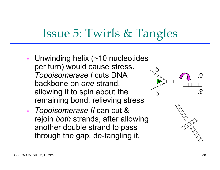## Issue 5: Twirls & Tangles

- Unwinding helix (~10 nucleotides per turn) would cause stress. *Topoisomerase I* cuts DNA backbone on *one* strand, allowing it to spin about the remaining bond, relieving stress
- *Topoisomerase II* can cut & rejoin *both* strands, after allowing another double strand to pass through the gap, de-tangling it.



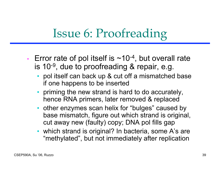## Issue 6: Proofreading

- Error rate of pol itself is  $\sim$ 10<sup>-4</sup>, but overall rate is 10-9 , due to proofreading & repair, e.g.
	- pol itself can back up & cut off a mismatched base if one happens to be inserted
	- priming the new strand is hard to do accurately, hence RNA primers, later removed & replaced
	- other enzymes scan helix for "bulges" caused by base mismatch, figure out which strand is original, cut away new (faulty) copy; DNA pol fills gap
	- which strand is original? In bacteria, some A's are "methylated" , but not immediately after replication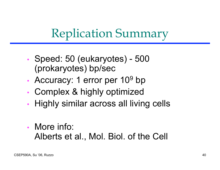## Replication Summary

- Speed: 50 (eukaryotes) 500 (prokaryotes) bp/sec
- Accuracy: 1 error per  $10^9$  bp
- Complex & highly optimized
- Highly similar across all living cells
- More info: Alberts et al., Mol. Biol. of the Cell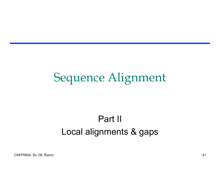### Sequence Alignment

#### Part II Local alignments & gaps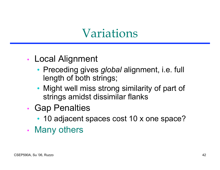### Variations

- Local Alignment
	- Preceding gives *global* alignment, i.e. full length of both strings;
	- Might well miss strong similarity of part of strings amidst dissimilar flanks
- Gap Penalties
	- 10 adjacent spaces cost 10 x one space?
- Many others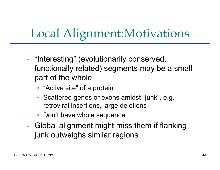## Local Alignment:Motivations

- "Interesting" (evolutionarily conserved, functionally related) segments may be a small part of the whole
	- "Active site" of a protein
	- Scattered genes or exons amidst "junk" , e.g. retroviral insertions, large deletions
	- Don't have whole sequence
- Global alignment might miss them if flanking junk outweighs similar regions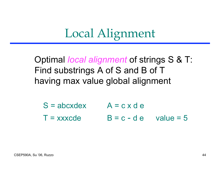## Local Alignment

Optimal *local alignment* of strings S & T: Find substrings A of S and B of T having max value global alignment

 $S = abcxdex$   $A = c x d e$  $T =$  xxxcde  $B = c - d e$  value = 5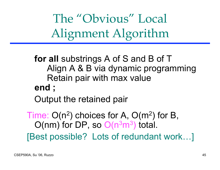The "Obvious" Local Alignment Algorithm

**for all** substrings A of S and B of T Align A & B via dynamic programming Retain pair with max value **end ;**

Output the retained pair

Time:  $O(n^2)$  choices for A,  $O(m^2)$  for B,  $O(nm)$  for DP, so  $O(n^3m^3)$  total. [Best possible? Lots of redundant work…]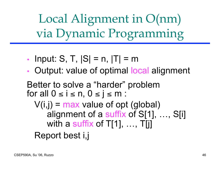Local Alignment in O(nm) via Dynamic Programming

- Input: S, T,  $|S| = n$ ,  $|T| = m$
- Output: value of optimal local alignment

Better to solve a "harder" problem for all  $0 \le i \le n, 0 \le j \le m$ :  $V(i,j)$  = max value of opt (global) alignment of a suffix of S[1], …, S[i] with a suffix of  $T[1], \ldots, T[j]$ Report best i,j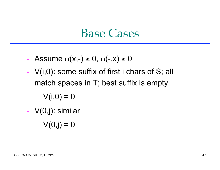#### Base Cases

- Assume  $\sigma(x,-) \leq 0$ ,  $\sigma(-,x) \leq 0$
- $V(i,0)$ : some suffix of first i chars of S; all match spaces in T; best suffix is empty  $V(i,0) = 0$
- V(0,j): similar
	- $V(0, j) = 0$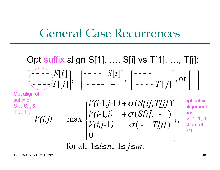#### General Case Recurrences

Opt suffix align S[1], …, S[i] vs T[1], …, T[j]: Opt align of suffix of  $\mathbf{S}_{\text{\text{1}}}\dots\mathbf{S}_{\text{\text{i-1}}}$  &  $\mathsf{T}_\mathsf{1} ... \mathsf{T}_\mathsf{j\text{-}1}$ for all  $1 \le i \le n$ ,  $1 \le j \le m$ . , 0  $\sigma(-, T[j])$  $-1, j$  +  $\sigma(S[i], -)$  $\sigma(S[i],T[j])$ max  $V(i,j-1) + \sigma(-, T[j])$  $V(i-1,j)$  +  $\sigma(S[i], -1)$  $V(i-1,j-1) + \sigma(S[i],T[j])$ *V(i,j)*   $\begin{array}{c} \hline \end{array}$  $\int$  $\mathbf{I}$  $\left\{ \right\}$  $\begin{matrix} \phantom{-} \end{matrix}$  $\begin{array}{c} \hline \end{array}$  $\lfloor$  $\mathbf{I}$ **く**  $\left\lceil \right\rceil$ + + + =  $\boldsymbol{O}$  $\boldsymbol{O}$  $\boldsymbol{O}$ |<br>|<br>|  $\lceil$  $\begin{bmatrix} \sim & - \\ \sim & \sim & T[j] \end{bmatrix}$ , or  $\begin{bmatrix} \sim & \sim & \sim \\ \sim & \sim & T[j] \end{bmatrix}$  $\left[\begin{matrix} \sim \\ \sim \\ \sim \sim \end{matrix} \begin{matrix} S[i] \\ T[j] \end{matrix} \right], \left[\begin{matrix} \sim \\ \sim \\ \sim \sim \sim \end{matrix} \begin{matrix} S[i] \\ - \sim \sim \sim \end{matrix} \end{matrix} \right]$ , or  $\sim \sim \sim \left[ i \right]$ ,  $\left[ \sim \sim \sim T[j] \right]$  $\sim$   $T[j]$ ,  $\sim\sim\hspace{-2.5mm}\sim S[i]$  $T[j]$ *S i*  $T[j]$ *S i* opt suffix alignment has: 2, 1, 1, 0 chars of S/T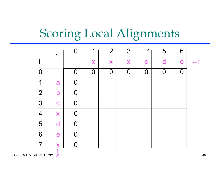## Scoring Local Alignments

|                |                         | $\overline{0}$ | 1        | $\overline{2}$ | 3              | $\overline{4}$ | 5                       | 6              |  |
|----------------|-------------------------|----------------|----------|----------------|----------------|----------------|-------------------------|----------------|--|
|                |                         |                | X        | X              | X              | $\mathbf C$    | $\overline{\mathsf{d}}$ | e              |  |
| $\overline{0}$ |                         | $\overline{0}$ | $\Omega$ | $\Omega$       | $\overline{0}$ | $\overline{O}$ | $\overline{0}$          | $\overline{0}$ |  |
| 1              | a                       | $\overline{0}$ |          |                |                |                |                         |                |  |
| $\overline{2}$ | $\mathsf b$             | $\overline{0}$ |          |                |                |                |                         |                |  |
| 3              | $\mathbf C$             | $\mathbf 0$    |          |                |                |                |                         |                |  |
| $\overline{4}$ | X                       | $\mathbf 0$    |          |                |                |                |                         |                |  |
| 5              | d                       | $\mathbf 0$    |          |                |                |                |                         |                |  |
| 6              | e                       | $\mathbf 0$    |          |                |                |                |                         |                |  |
| $\overline{7}$ | $\overline{\mathsf{X}}$ | $\mathsf{O}$   |          |                |                |                |                         |                |  |
|                |                         |                |          |                |                |                |                         |                |  |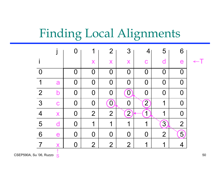## Finding Local Alignments

|                |   | $\bigcap$   | 1              | $\overline{2}$   | 3                |             | 5                | 6              |  |
|----------------|---|-------------|----------------|------------------|------------------|-------------|------------------|----------------|--|
|                |   |             | X              | X                | X                | $\mathbf C$ | d                | e              |  |
|                |   | 0           | O              | $\overline{0}$   | $\Omega$         | N           | N                | O              |  |
| 1              | a | $\bf 0$     | 0              | $\boldsymbol{0}$ | $\Omega$         | 0           | O                | O              |  |
| $\overline{2}$ | b | $\bf{0}$    | $\bf{0}$       | $\boldsymbol{0}$ | $\bf{0}$         | O           | $\boldsymbol{0}$ | 0              |  |
| 3              | C | $\mathbf 0$ | $\overline{0}$ | $\mathbf{0}$     | O                | $\boxed{2}$ | 1                | 0              |  |
| $\overline{4}$ | X | $\mathbf 0$ | $\overline{2}$ | $\overline{2}$   | $2 \right)$      | 1           | 1                | 0              |  |
| 5              | d | $\bf{0}$    | 1              | 1                | 1                | 1           | $\overline{3}$   | $\overline{2}$ |  |
| 6              | e | $\bf 0$     | 0              | $\boldsymbol{0}$ | $\boldsymbol{0}$ | O           | $\overline{2}$   | 5 <sub>l</sub> |  |
|                |   | $\bf{0}$    | $\overline{2}$ | $\overline{2}$   | $\overline{2}$   | 1           | 1                | 4              |  |
|                |   |             |                |                  |                  |             |                  |                |  |

 $\mathsf{CSEP590A}, \mathsf{Su}\,?\mathsf{06}, \mathsf{Ruzzo}\,|\, \mathsf{S}^\bullet$ S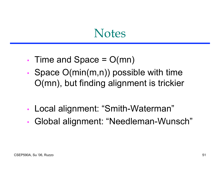#### **Notes**

- Time and Space  $= O(mn)$
- Space O(min(m,n)) possible with time O(mn), but finding alignment is trickier
- Local alignment: "Smith-Waterman"
- Global alignment: "Needleman-Wunsch"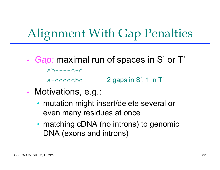## Alignment With Gap Penalties

- *Gap:* maximal run of spaces in S' or T'  $ab---cc-d$ a-ddddcbd 2 gaps in S', 1 in T'
- Motivations, e.g.:
	- mutation might insert/delete several or even many residues at once
	- matching cDNA (no introns) to genomic DNA (exons and introns)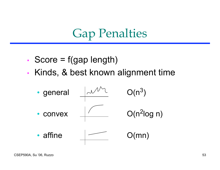### Gap Penalties

- Score  $=$  f(gap length)
- Kinds, & best known alignment time

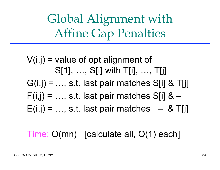Global Alignment with Affine Gap Penalties

 $V(i,j)$  = value of opt alignment of S[1], …, S[i] with T[i], …, T[j]  $G(i,j) = ..., s.t.$  last pair matches S[i] & T[j]  $F(i,j) = ..., s.t.$  last pair matches S[i] &  $E(i,j) = ..., s.t.$  last pair matches  $-8$  T[j]

Time: O(mn) [calculate all, O(1) each]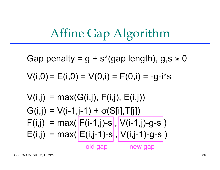$$
V(i,j) = max(G(i,j), F(i,j), E(i,j))
$$
  
\n
$$
G(i,j) = V(i-1,j-1) + \sigma(S[i], T[j])
$$
  
\n
$$
F(i,j) = max(\overline{F(i-1,j)-s}, \overline{V(i-1,j)-g-s})
$$
  
\n
$$
E(i,j) = max(\overline{E(i,j-1)-s}, \overline{V(i,j-1)-g-s})
$$
  
\n
$$
\frac{\partial}{\partial s}
$$

 $V(i,0) = E(i,0) = V(0,i) = F(0,i) = -g-i*s$ 

$$
\mathcal{L}^{\mathcal{L}}(\mathcal{L}^{\mathcal{L}}_{\mathcal{L}^{\mathcal{L}}_{\mathcal{L}^{\mathcal{L}}_{\mathcal{L}^{\mathcal{L}}_{\mathcal{L}^{\mathcal{L}}_{\mathcal{L}^{\mathcal{L}}_{\mathcal{L}^{\mathcal{L}}_{\mathcal{L}^{\mathcal{L}}_{\mathcal{L}^{\mathcal{L}}_{\mathcal{L}^{\mathcal{L}}_{\mathcal{L}^{\mathcal{L}}_{\mathcal{L}^{\mathcal{L}}_{\mathcal{L}^{\mathcal{L}}_{\mathcal{L}^{\mathcal{L}}_{\mathcal{L}^{\mathcal{L}}_{\mathcal{L}^{\mathcal{L}}_{\mathcal{L}^{\mathcal{L}}_{\mathcal{L}^{\mathcal{L}}_{\mathcal{L}^{\mathcal{L}}_{\mathcal{L}^{\mathcal{L}}_{\mathcal{L}^{\mathcal{L}}_{\mathcal{L}^{\mathcal{L}}_{\mathcal{L}^{\mathcal{L}}_{\mathcal{L}^{\mathcal{L}}_{\mathcal{L}^{\mathcal{L}}_{\mathcal{L}^{\mathcal{L}}_{\mathcal{L}^{\mathcal{L}}_{\mathcal{L}^{\mathcal{L}}_{\mathcal{L}^{\mathcal{L}}_{\mathcal{L}^{\mathcal{L}}_{\mathcal{L}^{\mathcal{L}}_{\mathcal{L}^{\mathcal{L}}_{\mathcal{L}^{\mathcal{L}}_{\mathcal{L}^{\mathcal{L}}_{\mathcal{L}^{\mathcal{L}}_{\mathcal{L}^{\mathcal{L}}_{\mathcal{L}^{\mathcal{L}}_{\mathcal{L}^{\mathcal{L}}_{\mathcal{L}^{\mathcal{L}}_{\mathcal{L}^{\mathcal{L}}_{\mathcal{L}^{\mathcal{L}}_{\mathcal{L}^{\mathcal{L}}_{\mathcal{L}^{\mathcal{L}}_{\mathcal{L}^{\mathcal{L}}_{\mathcal{L}^{\mathcal{L}}_{\mathcal{L}^{\mathcal{L}}_{\mathcal{L}^{\mathcal{L}}_{\mathcal{L}^{\mathcal{L}}_{\mathcal{L}^{\mathcal{L}}_{\mathcal{L}^{\mathcal{L}}_{\mathcal{L}^{\mathcal{L}}_{\mathcal{L}^{\mathcal{L}}_{\mathcal{L}^{\mathcal{L}}_{\mathcal{L
$$

Affine Gap Algorithm

Gap penalty = 
$$
g + s*(gap length)
$$
,  $g, s \ge 0$